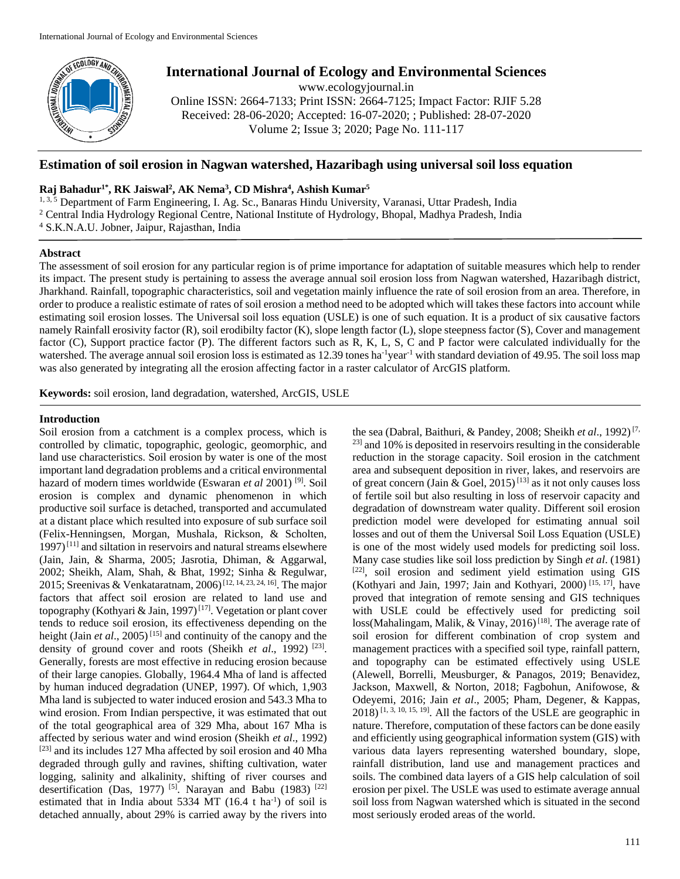

# **International Journal of Ecology and Environmental Sciences**

www.ecologyjournal.in

Online ISSN: 2664-7133; Print ISSN: 2664-7125; Impact Factor: RJIF 5.28 Received: 28-06-2020; Accepted: 16-07-2020; ; Published: 28-07-2020 Volume 2; Issue 3; 2020; Page No. 111-117

## **Estimation of soil erosion in Nagwan watershed, Hazaribagh using universal soil loss equation**

## **Raj Bahadur1\*, RK Jaiswal<sup>2</sup> , AK Nema<sup>3</sup> , CD Mishra<sup>4</sup> , Ashish Kumar<sup>5</sup>**

<sup>1, 3, 5</sup> Department of Farm Engineering, I. Ag. Sc., Banaras Hindu University, Varanasi, Uttar Pradesh, India <sup>2</sup> Central India Hydrology Regional Centre, National Institute of Hydrology, Bhopal, Madhya Pradesh, India <sup>4</sup> S.K.N.A.U. Jobner, Jaipur, Rajasthan, India

### **Abstract**

The assessment of soil erosion for any particular region is of prime importance for adaptation of suitable measures which help to render its impact. The present study is pertaining to assess the average annual soil erosion loss from Nagwan watershed, Hazaribagh district, Jharkhand. Rainfall, topographic characteristics, soil and vegetation mainly influence the rate of soil erosion from an area. Therefore, in order to produce a realistic estimate of rates of soil erosion a method need to be adopted which will takes these factors into account while estimating soil erosion losses. The Universal soil loss equation (USLE) is one of such equation. It is a product of six causative factors namely Rainfall erosivity factor (R), soil erodibilty factor (K), slope length factor (L), slope steepness factor (S), Cover and management factor (C), Support practice factor (P). The different factors such as R, K, L, S, C and P factor were calculated individually for the watershed. The average annual soil erosion loss is estimated as 12.39 tones ha<sup>-1</sup>year<sup>-1</sup> with standard deviation of 49.95. The soil loss map was also generated by integrating all the erosion affecting factor in a raster calculator of ArcGIS platform.

**Keywords:** soil erosion, land degradation, watershed, ArcGIS, USLE

## **Introduction**

Soil erosion from a catchment is a complex process, which is controlled by climatic, topographic, geologic, geomorphic, and land use characteristics. Soil erosion by water is one of the most important land degradation problems and a critical environmental hazard of modern times worldwide (Eswaran *et al* 2001) [9]. Soil erosion is complex and dynamic phenomenon in which productive soil surface is detached, transported and accumulated at a distant place which resulted into exposure of sub surface soil (Felix-Henningsen, Morgan, Mushala, Rickson, & Scholten,  $1997$ <sup>[11]</sup> and siltation in reservoirs and natural streams elsewhere (Jain, Jain, & Sharma, 2005; Jasrotia, Dhiman, & Aggarwal, 2002; Sheikh, Alam, Shah, & Bhat, 1992; Sinha & Regulwar, 2015; Sreenivas & Venkataratnam, 2006)<sup>[12, 14, 23, 24, 16]</sup>. The major factors that affect soil erosion are related to land use and topography (Kothyari & Jain, 1997)<sup>[17]</sup>. Vegetation or plant cover tends to reduce soil erosion, its effectiveness depending on the height (Jain *et al.*, 2005)<sup>[15]</sup> and continuity of the canopy and the density of ground cover and roots (Sheikh *et al.*, 1992)<sup>[23]</sup>. Generally, forests are most effective in reducing erosion because of their large canopies. Globally, 1964.4 Mha of land is affected by human induced degradation (UNEP, 1997). Of which, 1,903 Mha land is subjected to water induced erosion and 543.3 Mha to wind erosion. From Indian perspective, it was estimated that out of the total geographical area of 329 Mha, about 167 Mha is affected by serious water and wind erosion (Sheikh *et al*., 1992) [23] and its includes 127 Mha affected by soil erosion and 40 Mha degraded through gully and ravines, shifting cultivation, water logging, salinity and alkalinity, shifting of river courses and desertification (Das, 1977) <sup>[5]</sup>. Narayan and Babu (1983) <sup>[22]</sup> estimated that in India about 5334 MT  $(16.4 \text{ t} \text{ ha}^{-1})$  of soil is detached annually, about 29% is carried away by the rivers into

the sea (Dabral, Baithuri, & Pandey, 2008; Sheikh *et al.*, 1992)<sup>[7,</sup> <sup>23]</sup> and 10% is deposited in reservoirs resulting in the considerable reduction in the storage capacity. Soil erosion in the catchment area and subsequent deposition in river, lakes, and reservoirs are of great concern (Jain  $\&$  Goel, 2015)<sup>[13]</sup> as it not only causes loss of fertile soil but also resulting in loss of reservoir capacity and degradation of downstream water quality. Different soil erosion prediction model were developed for estimating annual soil losses and out of them the Universal Soil Loss Equation (USLE) is one of the most widely used models for predicting soil loss. Many case studies like soil loss prediction by Singh *et al*. (1981) [22], soil erosion and sediment yield estimation using GIS (Kothyari and Jain, 1997; Jain and Kothyari, 2000) [15, 17], have proved that integration of remote sensing and GIS techniques with USLE could be effectively used for predicting soil loss(Mahalingam, Malik, & Vinay, 2016)<sup>[18]</sup>. The average rate of soil erosion for different combination of crop system and management practices with a specified soil type, rainfall pattern, and topography can be estimated effectively using USLE (Alewell, Borrelli, Meusburger, & Panagos, 2019; Benavidez, Jackson, Maxwell, & Norton, 2018; Fagbohun, Anifowose, & Odeyemi, 2016; Jain *et al*., 2005; Pham, Degener, & Kappas,  $2018$ ) [1, 3, 10, 15, 19]. All the factors of the USLE are geographic in nature. Therefore, computation of these factors can be done easily and efficiently using geographical information system (GIS) with various data layers representing watershed boundary, slope, rainfall distribution, land use and management practices and soils. The combined data layers of a GIS help calculation of soil erosion per pixel. The USLE was used to estimate average annual soil loss from Nagwan watershed which is situated in the second most seriously eroded areas of the world.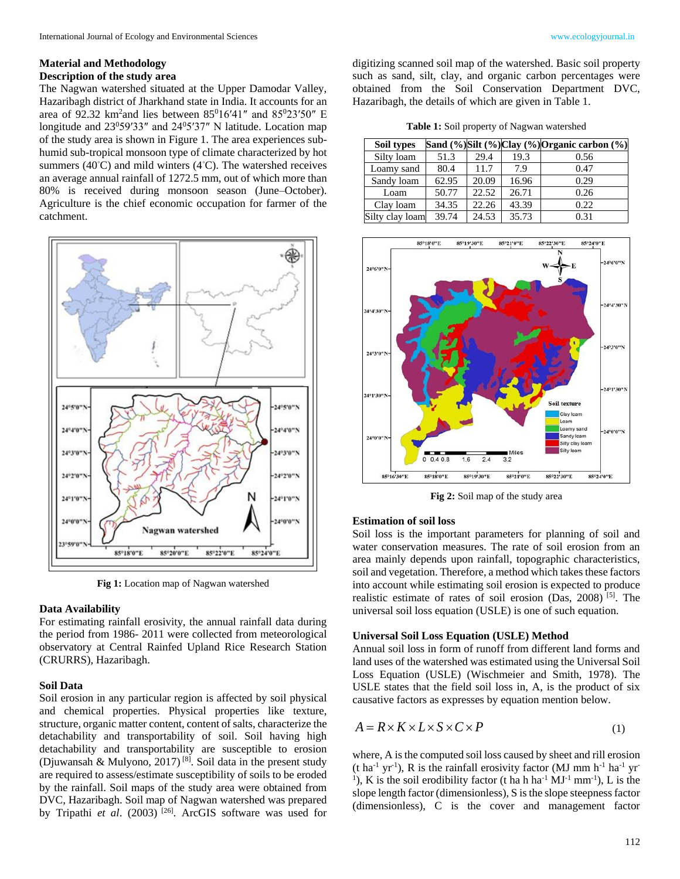#### **Material and Methodology**

#### **Description of the study area**

The Nagwan watershed situated at the Upper Damodar Valley, Hazaribagh district of Jharkhand state in India. It accounts for an area of 92.32 km<sup>2</sup> and lies between  $85^016'41''$  and  $85^023'50''$  E longitude and 23<sup>0</sup>59′33″ and 24<sup>0</sup>5′37″ N latitude. Location map of the study area is shown in Figure 1. The area experiences subhumid sub-tropical monsoon type of climate characterized by hot summers (40 $°C$ ) and mild winters (4 $°C$ ). The watershed receives an average annual rainfall of 1272.5 mm, out of which more than 80% is received during monsoon season (June–October). Agriculture is the chief economic occupation for farmer of the catchment.



**Fig 1:** Location map of Nagwan watershed

#### **Data Availability**

For estimating rainfall erosivity, the annual rainfall data during the period from 1986- 2011 were collected from meteorological observatory at Central Rainfed Upland Rice Research Station (CRURRS), Hazaribagh.

#### **Soil Data**

Soil erosion in any particular region is affected by soil physical and chemical properties. Physical properties like texture, structure, organic matter content, content of salts, characterize the detachability and transportability of soil. Soil having high detachability and transportability are susceptible to erosion (Djuwansah & Mulyono, 2017) [8]. Soil data in the present study are required to assess/estimate susceptibility of soils to be eroded by the rainfall. Soil maps of the study area were obtained from DVC, Hazaribagh. Soil map of Nagwan watershed was prepared by Tripathi *et al.* (2003)<sup>[26]</sup>. ArcGIS software was used for

digitizing scanned soil map of the watershed. Basic soil property such as sand, silt, clay, and organic carbon percentages were obtained from the Soil Conservation Department DVC, Hazaribagh, the details of which are given in Table 1.

**Table 1:** Soil property of Nagwan watershed

| Soil types      |       |                    |       | Sand (%)Silt (%)Clay (%)Organic carbon (%) |
|-----------------|-------|--------------------|-------|--------------------------------------------|
| Silty loam      | 51.3  | 29.4               | 19.3  | 0.56                                       |
| Loamy sand      | 80.4  | 11.7               | 7.9   | 0.47                                       |
| Sandy loam      | 62.95 | 20.09              | 16.96 | 0.29                                       |
| Loam            | 50.77 | $\overline{2}2.52$ | 26.71 | 0.26                                       |
| Clay loam       | 34.35 | 22.26              | 43.39 | 0.22                                       |
| Silty clay loam | 39.74 | 24.53              | 35.73 | 0.31                                       |



**Fig 2:** Soil map of the study area

#### **Estimation of soil loss**

Soil loss is the important parameters for planning of soil and water conservation measures. The rate of soil erosion from an area mainly depends upon rainfall, topographic characteristics, soil and vegetation. Therefore, a method which takes these factors into account while estimating soil erosion is expected to produce realistic estimate of rates of soil erosion (Das, 2008) [5]. The universal soil loss equation (USLE) is one of such equation.

#### **Universal Soil Loss Equation (USLE) Method**

Annual soil loss in form of runoff from different land forms and land uses of the watershed was estimated using the Universal Soil Loss Equation (USLE) (Wischmeier and Smith, 1978). The USLE states that the field soil loss in, A, is the product of six causative factors as expresses by equation mention below.

$$
A = R \times K \times L \times S \times C \times P \tag{1}
$$

where, A is the computed soil loss caused by sheet and rill erosion  $(t \text{ ha}^{-1} \text{ yr}^{-1})$ , R is the rainfall erosivity factor (MJ mm h<sup>-1</sup> ha<sup>-1</sup> yr<sup>-</sup> <sup>1</sup>), K is the soil erodibility factor (t ha h ha<sup>-1</sup> MJ<sup>-1</sup> mm<sup>-1</sup>), L is the slope length factor (dimensionless), S is the slope steepness factor (dimensionless), C is the cover and management factor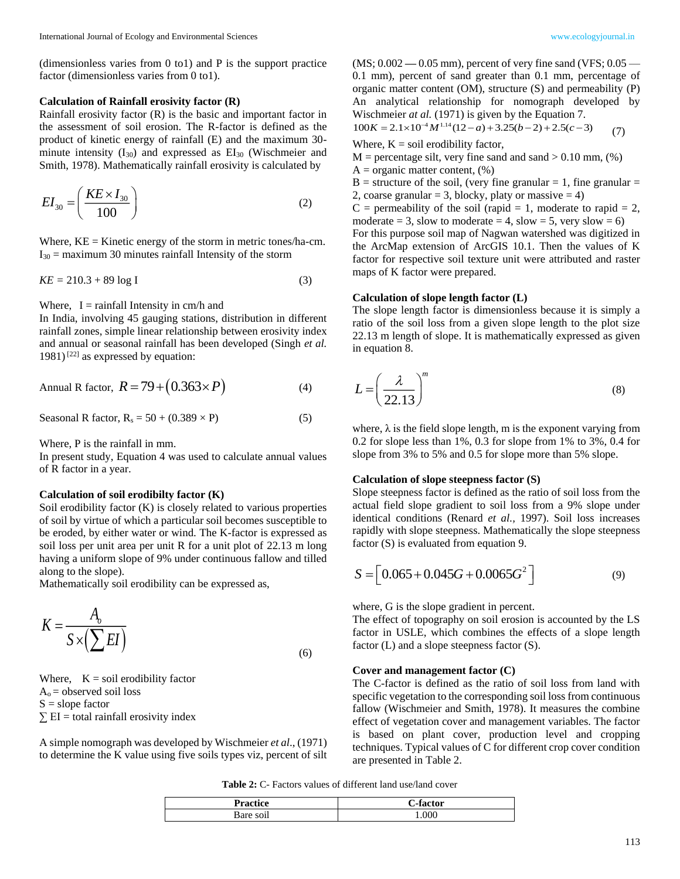(dimensionless varies from 0 to1) and P is the support practice factor (dimensionless varies from 0 to1).

#### **Calculation of Rainfall erosivity factor (R)**

Rainfall erosivity factor (R) is the basic and important factor in the assessment of soil erosion. The R-factor is defined as the product of kinetic energy of rainfall (E) and the maximum 30 minute intensity  $(I_{30})$  and expressed as  $EI_{30}$  (Wischmeier and Smith, 1978). Mathematically rainfall erosivity is calculated by

$$
EI_{30} = \left(\frac{KE \times I_{30}}{100}\right) \tag{2}
$$

Where,  $KE =$  Kinetic energy of the storm in metric tones/ha-cm.  $I_{30}$  = maximum 30 minutes rainfall Intensity of the storm

$$
KE = 210.3 + 89 \log I \tag{3}
$$

Where,  $I = \text{rainfall Intensity in cm/h}$  and

In India, involving 45 gauging stations, distribution in different rainfall zones, simple linear relationship between erosivity index and annual or seasonal rainfall has been developed (Singh *et al.* 1981)<sup>[22]</sup> as expressed by equation:

$$
Annual R factor, R = 79 + (0.363 \times P)
$$
 (4)

$$
Seasonal R factor, Rs = 50 + (0.389 \times P)
$$
 (5)

Where, P is the rainfall in mm.

In present study, Equation 4 was used to calculate annual values of R factor in a year.

#### **Calculation of soil erodibilty factor (K)**

Soil erodibility factor (K) is closely related to various properties of soil by virtue of which a particular soil becomes susceptible to be eroded, by either water or wind. The K-factor is expressed as soil loss per unit area per unit R for a unit plot of 22.13 m long having a uniform slope of 9% under continuous fallow and tilled along to the slope).

Mathematically soil erodibility can be expressed as,

$$
K = \frac{A_o}{S \times (\sum EI)}\tag{6}
$$

Where,  $K = soil$  erodibility factor  $A<sub>o</sub>$  = observed soil loss  $S = slope factor$ 

 $\Sigma$  EI = total rainfall erosivity index

A simple nomograph was developed by Wischmeier *et al*., (1971) to determine the K value using five soils types viz, percent of silt

(MS; 0.002 **—** 0.05 mm), percent of very fine sand (VFS; 0.05 — 0.1 mm), percent of sand greater than 0.1 mm, percentage of organic matter content (OM), structure (S) and permeability (P) An analytical relationship for nomograph developed by Wischmeier *at al.* (1971) is given by the Equation 7.

$$
100K = 2.1 \times 10^{-4} M^{1.14} (12 - a) + 3.25(b - 2) + 2.5(c - 3)
$$
 (7)

Where,  $K = \text{soil erodibility factor}$ ,

 $M =$  percentage silt, very fine sand and sand  $> 0.10$  mm,  $(\%)$ 

 $A =$  organic matter content,  $(\%)$ 

 $B =$  structure of the soil, (very fine granular = 1, fine granular = 2, coarse granular = 3, blocky, platy or massive = 4)

 $C =$  permeability of the soil (rapid = 1, moderate to rapid = 2, moderate = 3, slow to moderate = 4, slow = 5, very slow = 6) For this purpose soil map of Nagwan watershed was digitized in the ArcMap extension of ArcGIS 10.1. Then the values of K factor for respective soil texture unit were attributed and raster maps of K factor were prepared.

### **Calculation of slope length factor (L)**

The slope length factor is dimensionless because it is simply a ratio of the soil loss from a given slope length to the plot size 22.13 m length of slope. It is mathematically expressed as given in equation 8.

$$
L = \left(\frac{\lambda}{22.13}\right)^m\tag{8}
$$

where,  $\lambda$  is the field slope length, m is the exponent varying from 0.2 for slope less than 1%, 0.3 for slope from 1% to 3%, 0.4 for slope from 3% to 5% and 0.5 for slope more than 5% slope.

#### **Calculation of slope steepness factor (S)**

Slope steepness factor is defined as the ratio of soil loss from the actual field slope gradient to soil loss from a 9% slope under identical conditions (Renard *et al.,* 1997). Soil loss increases rapidly with slope steepness. Mathematically the slope steepness factor (S) is evaluated from equation 9.

$$
S = \left[0.065 + 0.045G + 0.0065G^2\right] \tag{9}
$$

where, G is the slope gradient in percent.

The effect of topography on soil erosion is accounted by the LS factor in USLE, which combines the effects of a slope length factor (L) and a slope steepness factor (S).

#### **Cover and management factor (C)**

The C-factor is defined as the ratio of soil loss from land with specific vegetation to the corresponding soil loss from continuous fallow (Wischmeier and Smith, 1978). It measures the combine effect of vegetation cover and management variables. The factor is based on plant cover, production level and cropping techniques. Typical values of C for different crop cover condition are presented in Table 2.

**Table 2:** C- Factors values of different land use/land cover

| etor |
|------|
| .000 |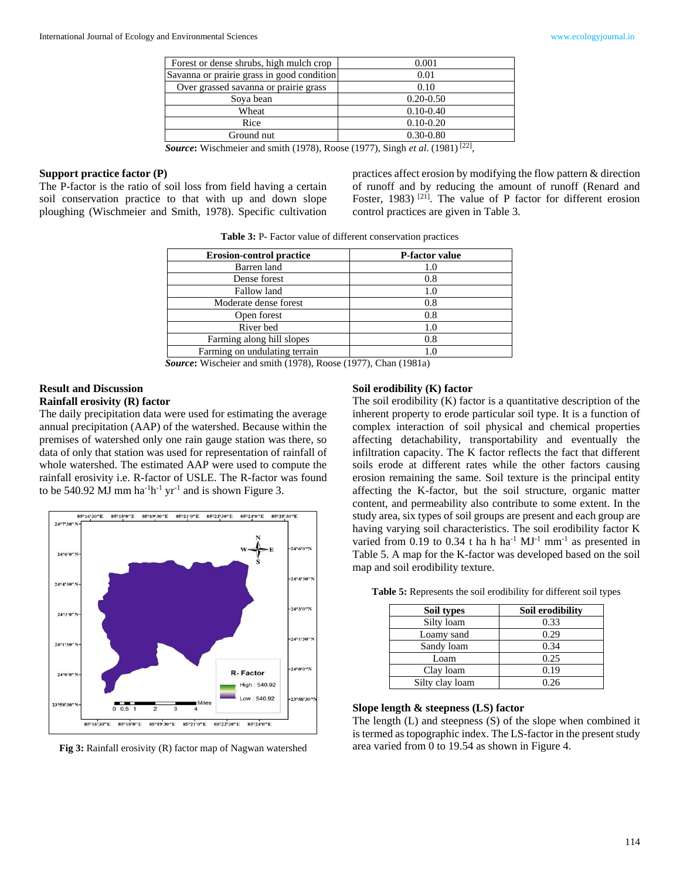| Forest or dense shrubs, high mulch crop    | 0.001         |
|--------------------------------------------|---------------|
| Savanna or prairie grass in good condition | 0.01          |
| Over grassed savanna or prairie grass      | 0.10          |
| Soya bean                                  | $0.20 - 0.50$ |
| Wheat                                      | $0.10 - 0.40$ |
| Rice                                       | $0.10 - 0.20$ |
| Ground nut                                 | $0.30 - 0.80$ |
|                                            | 0.21          |

*Source***:** Wischmeier and smith (1978), Roose (1977), Singh *et al*. (1981) [22] ,

#### **Support practice factor (P)**

The P-factor is the ratio of soil loss from field having a certain soil conservation practice to that with up and down slope ploughing (Wischmeier and Smith, 1978). Specific cultivation

practices affect erosion by modifying the flow pattern & direction of runoff and by reducing the amount of runoff (Renard and Foster, 1983)<sup>[21]</sup>. The value of P factor for different erosion control practices are given in Table 3.

**Table 3:** P- Factor value of different conservation practices

| <b>Erosion-control practice</b> | P-factor value |
|---------------------------------|----------------|
| Barren land                     |                |
| Dense forest                    | 0.8            |
| Fallow land                     | 1.0            |
| Moderate dense forest           | 0.8            |
| Open forest                     | 0.8            |
| River bed                       | 1.0            |
| Farming along hill slopes       | 0.8            |
| Farming on undulating terrain   |                |
| -                               |                |

*Source***:** Wischeier and smith (1978), Roose (1977), Chan (1981a)

## **Result and Discussion**

## **Rainfall erosivity (R) factor**

The daily precipitation data were used for estimating the average annual precipitation (AAP) of the watershed. Because within the premises of watershed only one rain gauge station was there, so data of only that station was used for representation of rainfall of whole watershed. The estimated AAP were used to compute the rainfall erosivity i.e. R-factor of USLE. The R-factor was found to be 540.92 MJ mm  $ha^{-1}h^{-1}$  yr<sup>-1</sup> and is shown Figure 3.



**Fig 3:** Rainfall erosivity (R) factor map of Nagwan watershed

#### **Soil erodibility (K) factor**

The soil erodibility (K) factor is a quantitative description of the inherent property to erode particular soil type. It is a function of complex interaction of soil physical and chemical properties affecting detachability, transportability and eventually the infiltration capacity. The K factor reflects the fact that different soils erode at different rates while the other factors causing erosion remaining the same. Soil texture is the principal entity affecting the K-factor, but the soil structure, organic matter content, and permeability also contribute to some extent. In the study area, six types of soil groups are present and each group are having varying soil characteristics. The soil erodibility factor K varied from 0.19 to 0.34 t ha h ha<sup>-1</sup>  $MJ^{-1}$  mm<sup>-1</sup> as presented in Table 5. A map for the K-factor was developed based on the soil map and soil erodibility texture.

| Soil types      | Soil erodibility |
|-----------------|------------------|
| Silty loam      | 0.33             |
| Loamy sand      | 0.29             |
| Sandy loam      | 0.34             |
| Loam            | 0.25             |
| Clay loam       | 0.19             |
| Silty clay loam | 0.26             |

**Table 5:** Represents the soil erodibility for different soil types

#### **Slope length & steepness (LS) factor**

The length (L) and steepness (S) of the slope when combined it is termed as topographic index. The LS-factor in the present study area varied from 0 to 19.54 as shown in Figure 4.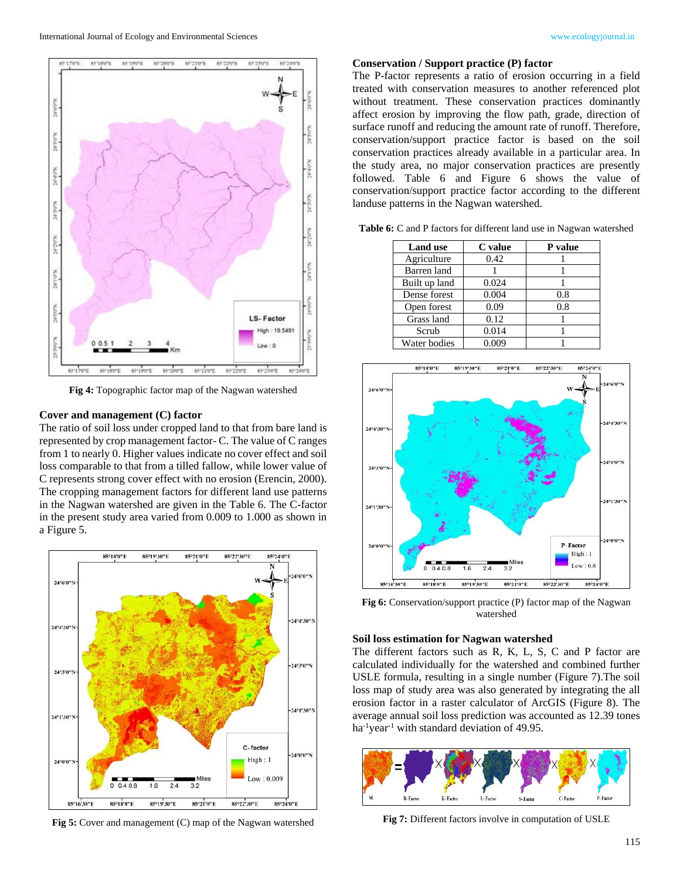

**Fig 4:** Topographic factor map of the Nagwan watershed

#### **Cover and management (C) factor**

The ratio of soil loss under cropped land to that from bare land is represented by crop management factor- C. The value of C ranges from 1 to nearly 0. Higher values indicate no cover effect and soil loss comparable to that from a tilled fallow, while lower value of C represents strong cover effect with no erosion (Erencin, 2000). The cropping management factors for different land use patterns in the Nagwan watershed are given in the Table 6. The C-factor in the present study area varied from 0.009 to 1.000 as shown in a Figure 5.



**Fig 5:** Cover and management (C) map of the Nagwan watershed

#### **Conservation / Support practice (P) factor**

The P-factor represents a ratio of erosion occurring in a field treated with conservation measures to another referenced plot without treatment. These conservation practices dominantly affect erosion by improving the flow path, grade, direction of surface runoff and reducing the amount rate of runoff. Therefore, conservation/support practice factor is based on the soil conservation practices already available in a particular area. In the study area, no major conservation practices are presently followed. Table 6 and Figure 6 shows the value of conservation/support practice factor according to the different landuse patterns in the Nagwan watershed.

| <b>Land use</b> | C value | P value |
|-----------------|---------|---------|
| Agriculture     | 0.42    |         |
| Barren land     |         |         |
| Built up land   | 0.024   |         |
| Dense forest    | 0.004   | 0.8     |
| Open forest     | 0.09    | 0.8     |
| Grass land      | 0.12    |         |
| Scrub           | 0.014   |         |
| Water bodies    | 0.009   |         |

Table 6: C and P factors for different land use in Nagwan watershed



**Fig 6:** Conservation/support practice (P) factor map of the Nagwan watershed

#### **Soil loss estimation for Nagwan watershed**

The different factors such as R, K, L, S, C and P factor are calculated individually for the watershed and combined further USLE formula, resulting in a single number (Figure 7).The soil loss map of study area was also generated by integrating the all erosion factor in a raster calculator of ArcGIS (Figure 8). The average annual soil loss prediction was accounted as 12.39 tones ha<sup>-1</sup>year<sup>-1</sup> with standard deviation of 49.95.



**Fig 7:** Different factors involve in computation of USLE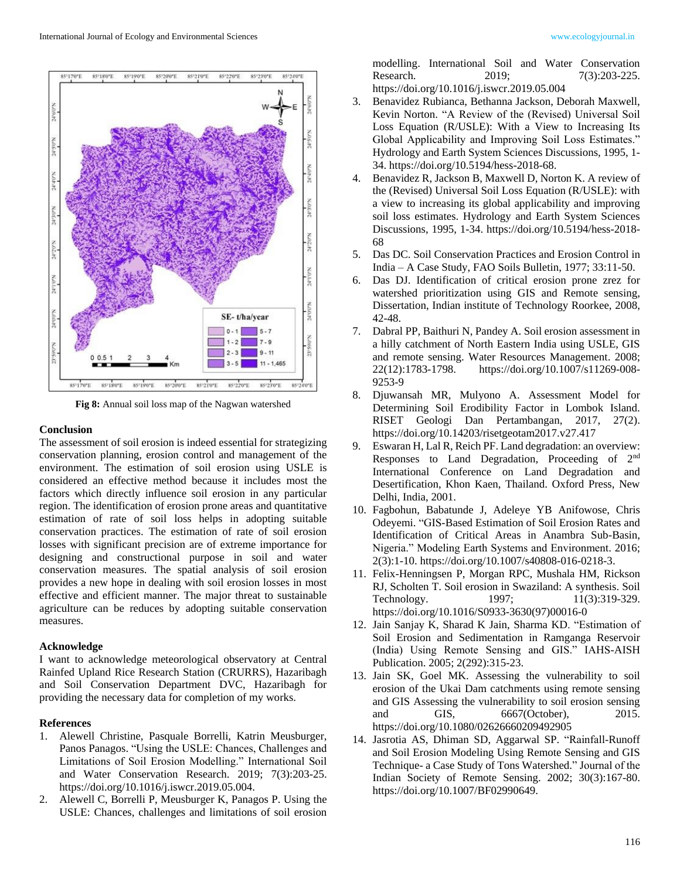

**Fig 8:** Annual soil loss map of the Nagwan watershed

## **Conclusion**

The assessment of soil erosion is indeed essential for strategizing conservation planning, erosion control and management of the environment. The estimation of soil erosion using USLE is considered an effective method because it includes most the factors which directly influence soil erosion in any particular region. The identification of erosion prone areas and quantitative estimation of rate of soil loss helps in adopting suitable conservation practices. The estimation of rate of soil erosion losses with significant precision are of extreme importance for designing and constructional purpose in soil and water conservation measures. The spatial analysis of soil erosion provides a new hope in dealing with soil erosion losses in most effective and efficient manner. The major threat to sustainable agriculture can be reduces by adopting suitable conservation measures.

## **Acknowledge**

I want to acknowledge meteorological observatory at Central Rainfed Upland Rice Research Station (CRURRS), Hazaribagh and Soil Conservation Department DVC, Hazaribagh for providing the necessary data for completion of my works.

## **References**

- 1. Alewell Christine, Pasquale Borrelli, Katrin Meusburger, Panos Panagos. "Using the USLE: Chances, Challenges and Limitations of Soil Erosion Modelling." International Soil and Water Conservation Research. 2019; 7(3):203-25. https://doi.org/10.1016/j.iswcr.2019.05.004.
- 2. Alewell C, Borrelli P, Meusburger K, Panagos P. Using the USLE: Chances, challenges and limitations of soil erosion

modelling. International Soil and Water Conservation Research. 2019; 7(3):203-225. https://doi.org/10.1016/j.iswcr.2019.05.004

- 3. Benavidez Rubianca, Bethanna Jackson, Deborah Maxwell, Kevin Norton. "A Review of the (Revised) Universal Soil Loss Equation (R/USLE): With a View to Increasing Its Global Applicability and Improving Soil Loss Estimates." Hydrology and Earth System Sciences Discussions, 1995, 1- 34. https://doi.org/10.5194/hess-2018-68.
- 4. Benavidez R, Jackson B, Maxwell D, Norton K. A review of the (Revised) Universal Soil Loss Equation (R/USLE): with a view to increasing its global applicability and improving soil loss estimates. Hydrology and Earth System Sciences Discussions, 1995, 1-34. https://doi.org/10.5194/hess-2018- 68
- 5. Das DC. Soil Conservation Practices and Erosion Control in India – A Case Study, FAO Soils Bulletin, 1977; 33:11-50.
- 6. Das DJ. Identification of critical erosion prone zrez for watershed prioritization using GIS and Remote sensing, Dissertation, Indian institute of Technology Roorkee, 2008, 42-48.
- 7. Dabral PP, Baithuri N, Pandey A. Soil erosion assessment in a hilly catchment of North Eastern India using USLE, GIS and remote sensing. Water Resources Management. 2008; 22(12):1783-1798. https://doi.org/10.1007/s11269-008- 9253-9
- 8. Djuwansah MR, Mulyono A. Assessment Model for Determining Soil Erodibility Factor in Lombok Island. RISET Geologi Dan Pertambangan, 2017, 27(2). https://doi.org/10.14203/risetgeotam2017.v27.417
- 9. Eswaran H, Lal R, Reich PF. Land degradation: an overview: Responses to Land Degradation, Proceeding of 2nd International Conference on Land Degradation and Desertification, Khon Kaen, Thailand. Oxford Press, New Delhi, India, 2001.
- 10. Fagbohun, Babatunde J, Adeleye YB Anifowose, Chris Odeyemi. "GIS-Based Estimation of Soil Erosion Rates and Identification of Critical Areas in Anambra Sub-Basin, Nigeria." Modeling Earth Systems and Environment. 2016; 2(3):1-10. https://doi.org/10.1007/s40808-016-0218-3.
- 11. Felix-Henningsen P, Morgan RPC, Mushala HM, Rickson RJ, Scholten T. Soil erosion in Swaziland: A synthesis. Soil Technology. 1997; 11(3):319-329. https://doi.org/10.1016/S0933-3630(97)00016-0
- 12. Jain Sanjay K, Sharad K Jain, Sharma KD. "Estimation of Soil Erosion and Sedimentation in Ramganga Reservoir (India) Using Remote Sensing and GIS." IAHS-AISH Publication. 2005; 2(292):315-23.
- 13. Jain SK, Goel MK. Assessing the vulnerability to soil erosion of the Ukai Dam catchments using remote sensing and GIS Assessing the vulnerability to soil erosion sensing and GIS, 6667(October), 2015. https://doi.org/10.1080/02626660209492905
- 14. Jasrotia AS, Dhiman SD, Aggarwal SP. "Rainfall-Runoff and Soil Erosion Modeling Using Remote Sensing and GIS Technique- a Case Study of Tons Watershed." Journal of the Indian Society of Remote Sensing. 2002; 30(3):167-80. https://doi.org/10.1007/BF02990649.